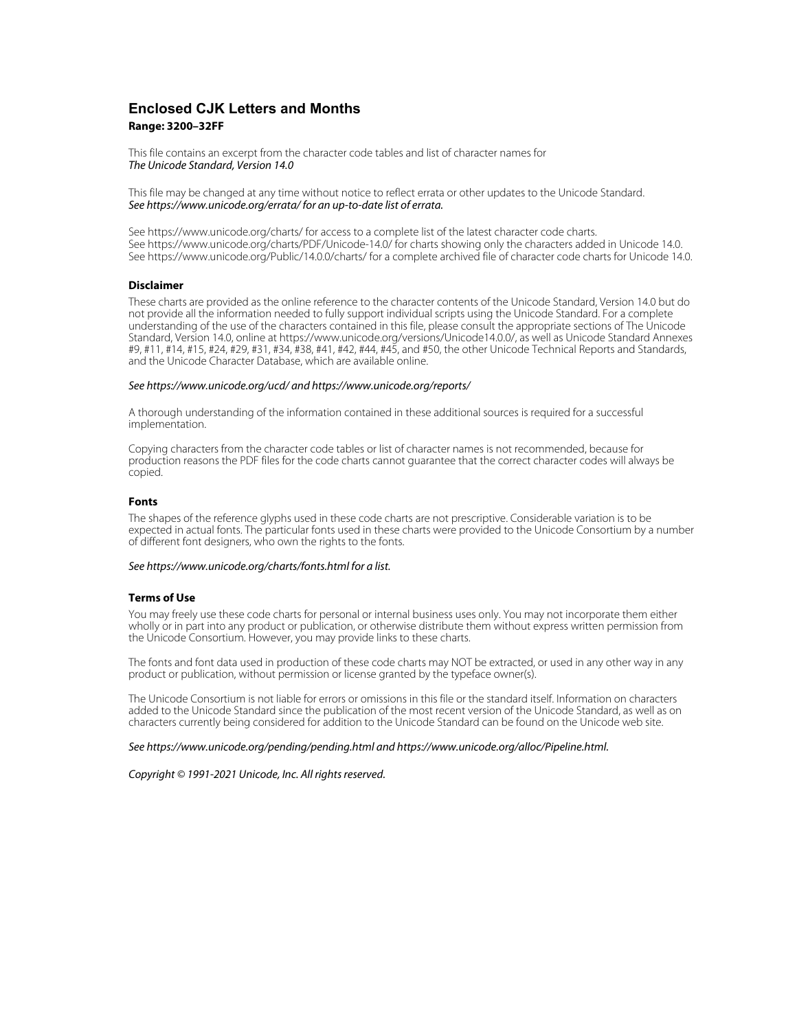# **Enclosed CJK Letters and Months Range: 3200–32FF**

This file contains an excerpt from the character code tables and list of character names for The Unicode Standard, Version 14.0

This file may be changed at any time without notice to reflect errata or other updates to the Unicode Standard. See https://www.unicode.org/errata/ for an up-to-date list of errata.

See https://www.unicode.org/charts/ for access to a complete list of the latest character code charts. See https://www.unicode.org/charts/PDF/Unicode-14.0/ for charts showing only the characters added in Unicode 14.0. See https://www.unicode.org/Public/14.0.0/charts/ for a complete archived file of character code charts for Unicode 14.0.

# **Disclaimer**

These charts are provided as the online reference to the character contents of the Unicode Standard, Version 14.0 but do not provide all the information needed to fully support individual scripts using the Unicode Standard. For a complete understanding of the use of the characters contained in this file, please consult the appropriate sections of The Unicode Standard, Version 14.0, online at https://www.unicode.org/versions/Unicode14.0.0/, as well as Unicode Standard Annexes #9, #11, #14, #15, #24, #29, #31, #34, #38, #41, #42, #44, #45, and #50, the other Unicode Technical Reports and Standards, and the Unicode Character Database, which are available online.

## See https://www.unicode.org/ucd/ and https://www.unicode.org/reports/

A thorough understanding of the information contained in these additional sources is required for a successful implementation.

Copying characters from the character code tables or list of character names is not recommended, because for production reasons the PDF files for the code charts cannot guarantee that the correct character codes will always be copied.

#### **Fonts**

The shapes of the reference glyphs used in these code charts are not prescriptive. Considerable variation is to be expected in actual fonts. The particular fonts used in these charts were provided to the Unicode Consortium by a number of different font designers, who own the rights to the fonts.

### See https://www.unicode.org/charts/fonts.html for a list.

#### **Terms of Use**

You may freely use these code charts for personal or internal business uses only. You may not incorporate them either wholly or in part into any product or publication, or otherwise distribute them without express written permission from the Unicode Consortium. However, you may provide links to these charts.

The fonts and font data used in production of these code charts may NOT be extracted, or used in any other way in any product or publication, without permission or license granted by the typeface owner(s).

The Unicode Consortium is not liable for errors or omissions in this file or the standard itself. Information on characters added to the Unicode Standard since the publication of the most recent version of the Unicode Standard, as well as on characters currently being considered for addition to the Unicode Standard can be found on the Unicode web site.

#### See https://www.unicode.org/pending/pending.html and https://www.unicode.org/alloc/Pipeline.html.

Copyright © 1991-2021 Unicode, Inc. All rights reserved.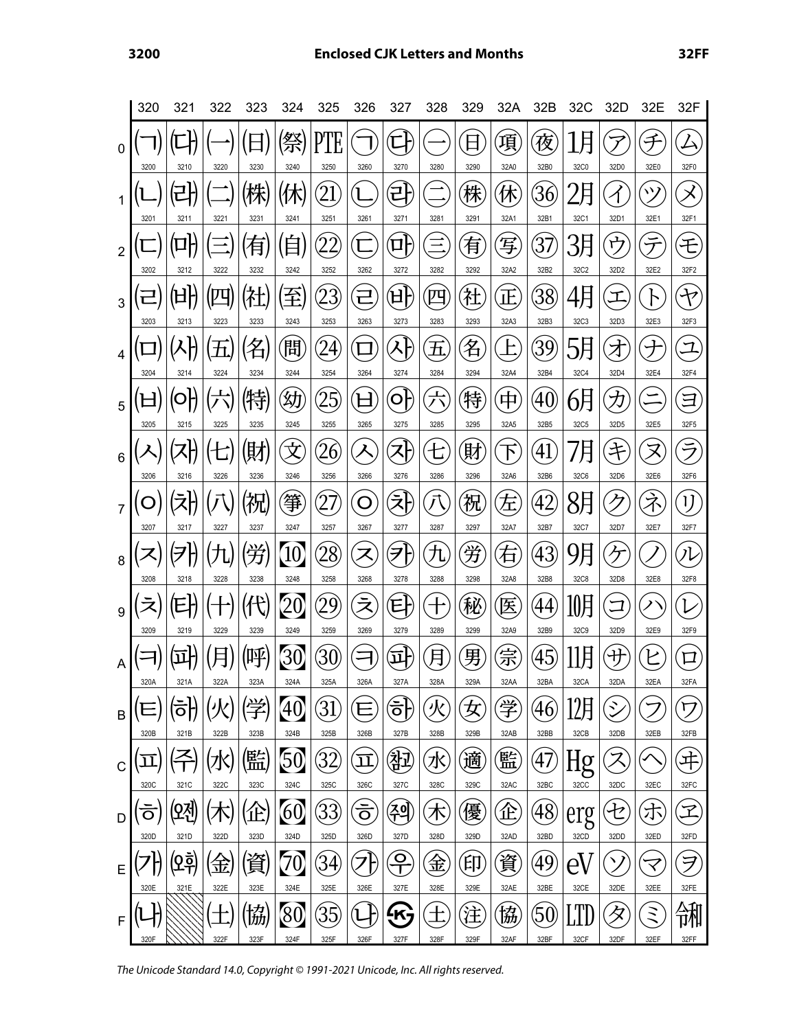|                | 320       | 321                             | 322       | 323         | 324          | 325                                                                                                                        | 326                                         | 327                              | 328                                      | 329       | 32A                  | 32B                       | 32C                   | 32D              | 32E                          | 32F                             |
|----------------|-----------|---------------------------------|-----------|-------------|--------------|----------------------------------------------------------------------------------------------------------------------------|---------------------------------------------|----------------------------------|------------------------------------------|-----------|----------------------|---------------------------|-----------------------|------------------|------------------------------|---------------------------------|
| 0              | 3200      | 3210                            | 3220      | 3230        | 祭<br>3240    | Έ<br>3250                                                                                                                  | 3260                                        | 3270                             | 3280                                     | 3290      | 項<br>32A0            | 夜<br>32B0                 | 32C0                  | 32D0             | 刁<br>32E0                    | ∠<br>32F0                       |
| 1              | 3201      | 3211                            | 3221      | (株)<br>3231 | 3241         | $21\,$<br>3251                                                                                                             | 3261                                        | 근<br>3271                        | 3281                                     | 絑<br>3291 | 休<br>32A1            | 36<br>32B1                | 32C1                  | 32D1             | ヽ<br>32E1                    | $\overline{\mathsf{X}}$<br>32F1 |
| $\overline{2}$ | 3202      | 3212                            | 3222      | 3232        | 3242         | 3252                                                                                                                       | 3262                                        | Д<br>3272                        | 3282                                     | 有<br>3292 | 写<br>32A2            | 37<br>32B2                | 32C2                  | ۲<br>32D2        | 32E2                         | 主<br>32F2                       |
| 3              | 3203      | 3213                            | 3223      | 3233        | 3243         | 23<br>3253                                                                                                                 | 3263                                        | $\boldsymbol{\rm H}$<br>3273     | ΓЧ<br>3283                               | 社<br>3293 | īĒ<br>32A3           | 38<br>32B3                | 32C3                  | 32D3             | 32E3                         | $\bm{\gamma}$<br>32F3           |
| 4              | 3204      | 3214                            | 3224      | 3234        | 問<br>3244    | 24<br>3254                                                                                                                 | 3264                                        | 3274                             | $\rm\, \it \overline{\rm \bf H}$<br>3284 | 名<br>3294 | 32A4                 | 39<br>32B4                | 32C4                  | 32D4             | 32E4                         | ユ<br>32F4                       |
| 5              | 3205      | 3215                            | 3225      | 特<br>3235   | 幼<br>3245    | 25<br>3255                                                                                                                 | 3265                                        | Ó<br>3275                        | <u>_</u><br>r:<br>3285                   | 特<br>3295 | 中<br>32A5            | $\; 40$<br>32B5           | n<br>32C <sub>5</sub> | 32D <sub>5</sub> | 32E5                         | ヨ<br>32F5                       |
| 6              | 3206      | 3216                            | 3226      | 財<br>3236   | 3246         | $\dot{2}6$<br>3256                                                                                                         | 3266                                        | 3276                             | 3286                                     | 財<br>3296 | $\mathsf{L}$<br>32A6 | [4]<br>32B6               | 32C6                  | 32D6             | 32E6                         | フ<br>32F6                       |
| $\overline{7}$ | 3207      | 3217                            | 3227      | 3237        | 箏<br>3247    | 3257                                                                                                                       | 3267                                        | え<br>3277                        | 3287                                     | 祝<br>3297 | 左<br>32A7            | 42<br>32B7                | 8)<br>32C7            | 32D7             | 32E7                         | 1)<br>32F7                      |
| 8              | 3208      | 3218                            | 3228      | 労<br>3238   | [10]<br>3248 | 28<br>3258                                                                                                                 | 3268                                        | ヲ<br>3278                        | 九<br>3288                                | 労<br>3298 | 有<br>32A8            | 43<br>32B8                | 32C8                  | 32D8             | 32E8                         | 儿<br>32F8                       |
| 9              | 3209      | 3219                            | 3229      | 3239        | [20]<br>3249 | 29<br>3259                                                                                                                 | $\bar{z}$<br>3269                           | E<br>3279                        | 3289                                     | 秘<br>3299 | 医<br>32A9            | 44<br>32B9                | ╞<br>32C9             | 32D9             | 32E9                         | 32F9                            |
| A              | 320A      | 321A                            | 322A      | 323A        | 30<br>324A   | 30<br>325A                                                                                                                 | 326A                                        | ົນ<br>327A                       | 328A                                     | 男<br>329A | 宗<br>32AA            | 45<br>32BA                | 32CA                  | 32DA             | 32EA                         | 32FA                            |
| B              | 320B      | $\overline{\mathbf{o}}$<br>321B | 322B      | 323B        | 40<br>324B   | 31<br>325B                                                                                                                 | 326B                                        | $\overleftarrow{\sigma}$<br>327B | Ŋ<br>328B                                | 女<br>329B | 学<br>32AB            | $\overline{46}$<br>32BB   | 冯<br>32CB             | 2<br>32DB        | 32EB                         | ワ<br>32FB                       |
| C              | 320C      | 321C                            | 322C      | 監<br>323C   | 50<br>324C   | 32<br>325C                                                                                                                 | $\rm \overline{\rm n}$<br>326C              | 钽<br>327C                        | 水<br>328C                                | 適<br>329C | 監<br>32AC            | $\left(47\right)$<br>32BC | Ιg<br>32CC            | 32DC             | 32EC                         | 毛<br>32FC                       |
| D              | Ō<br>320D | <u>(2전</u><br>321D              | 322D      | 323D        | 60<br>324D   | $\mathfrak{B}% _{T}=\mathfrak{B}_{T}\!\left( a,b\right) ,\ \mathfrak{B}_{T}=\mathfrak{B}_{T}\!\left( a,b\right) ,$<br>325D | $\equiv$<br>$\overline{\mathtt{o}}$<br>326D | 주의<br>327D                       | 不<br>328D                                | 優<br>329D | $\mathbb{E}$<br>32AD | 48)<br>32BD               | erg<br>32CD           | 32DD             | 大<br>32ED                    | ヱ<br>32FD                       |
| Е              | 320E      | Q₫<br>321E                      | 金<br>322E | 323E        | 70<br>324E   | 34<br>325E                                                                                                                 | 326E                                        | $\mathbf{\hat{O}}$<br>327E       | 金<br>328E                                | 印<br>329E | 資<br>32AE            | 49<br>32BE                | ρV<br>32CE            | 32DE             | $\blacktriangledown$<br>32EE | ヲ<br>32FE                       |
| F              | 320F      |                                 | 322F      | 協<br>323F   | [80]<br>324F | 35<br>325F                                                                                                                 | 326F                                        | ίĸ,<br>327F                      | 328F                                     | 注<br>329F | 協<br>32AF            | 50<br>32BF                | 32CF                  | 32DF             | $\mathbf{z}$<br>32EF         | 32FF                            |

The Unicode Standard 14.0, Copyright © 1991-2021 Unicode, Inc. All rights reserved.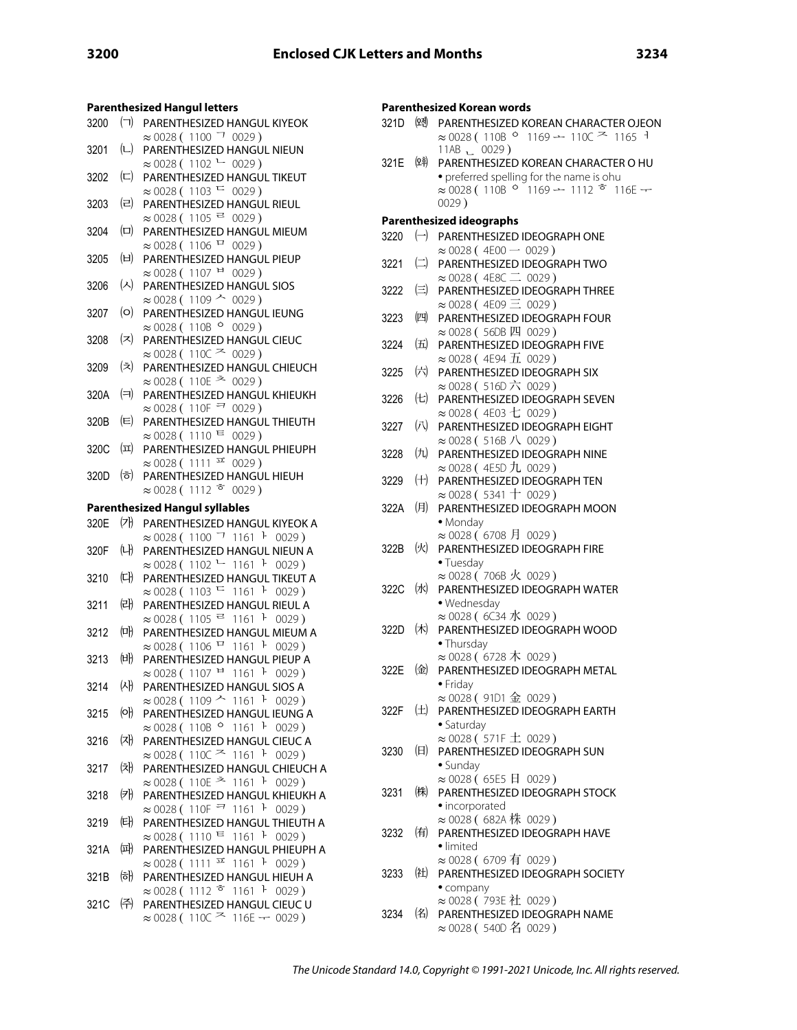| <b>Parenthesized Hangul letters</b> |                           |                                                                                                                                               |  |  |  |
|-------------------------------------|---------------------------|-----------------------------------------------------------------------------------------------------------------------------------------------|--|--|--|
| 3200                                | $(\neg)$                  | PARENTHESIZED HANGUL KIYEOK<br>$\approx 0028(1100 \text{ }^{\circ}\text{ }0029)$                                                              |  |  |  |
| 3201                                | $(\sqcup)$                | PARENTHESIZED HANGUL NIEUN<br>$\approx 0028(1102 - 0029)$                                                                                     |  |  |  |
| 3202                                | $(\Box)$                  | PARENTHESIZED HANGUL TIKEUT                                                                                                                   |  |  |  |
| 3203                                | (ㄹ)                       | $\approx 0028(1103 \pm 0029)$<br>PARENTHESIZED HANGUL RIEUL                                                                                   |  |  |  |
| 3204                                | $(\Box)$                  | $\approx 0028(1105 \pm 0029)$<br>PARENTHESIZED HANGUL MIEUM                                                                                   |  |  |  |
| 3205                                | (H)                       | $\approx 0028(1106 \text{ }^{\square}0029)$<br>PARENTHESIZED HANGUL PIEUP                                                                     |  |  |  |
| 3206                                | $(\lambda)$               | $\approx 0028$ (1107 $^{\text{H}}$ 0029)<br>PARENTHESIZED HANGUL SIOS                                                                         |  |  |  |
| 3207                                | (o)                       | $\approx 0028(1109 \stackrel{\scriptstyle \wedge}{\sim} 0029)$<br>PARENTHESIZED HANGUL IEUNG                                                  |  |  |  |
| 3208                                | $(\ge)$                   | $\approx 0028(110B^{\circ} 0029)$<br>PARENTHESIZED HANGUL CIEUC                                                                               |  |  |  |
| 3209                                | $(\bar{x})$               | $\approx 0028(110C^2 0029)$<br>PARENTHESIZED HANGUL CHIEUCH                                                                                   |  |  |  |
| 320A                                | $(=)$                     | $\approx$ 0028 (110E $\geq$ 0029)<br>PARENTHESIZED HANGUL KHIEUKH                                                                             |  |  |  |
| 320B                                | $(\text{E})$              | $\approx 0028(110F - 0029)$<br>PARENTHESIZED HANGUL THIEUTH                                                                                   |  |  |  |
| 320C                                | $(\overline{\mathbf{u}})$ | $\approx 0028 (1110 \text{ E } 0029)$<br>PARENTHESIZED HANGUL PHIEUPH                                                                         |  |  |  |
| 320D                                | $(\bar{\sigma})$          | $\approx 0028(1111 \times 0029)$<br>PARENTHESIZED HANGUL HIEUH                                                                                |  |  |  |
|                                     |                           | $\approx 0028$ (1112 $\bar{\sigma}$ 0029)                                                                                                     |  |  |  |
|                                     |                           | <b>Parenthesized Hangul syllables</b>                                                                                                         |  |  |  |
| 320E                                | (7)                       | PARENTHESIZED HANGUL KIYEOK A<br>$\approx 0028(1100 \text{ }^{\circ}\text{)}1161 \text{ }^{\circ}0029)$                                       |  |  |  |
| 320F                                | (1)                       | PARENTHESIZED HANGUL NIEUN A<br>$\approx 0028(1102 - 1161 + 0029)$                                                                            |  |  |  |
| 3210                                | (대)                       | PARENTHESIZED HANGUL TIKEUT A<br>$\approx 0028$ (1103 $\overline{C}$ 1161 $\overline{F}$ 0029)                                                |  |  |  |
| 3211                                | (라)                       | PARENTHESIZED HANGUL RIEUL A<br>$\approx 0028$ (1105 $\equiv$ 1161 $\pm$ 0029)                                                                |  |  |  |
| 3212                                | $(\Box)$                  | PARENTHESIZED HANGUL MIEUM A<br>$\approx 0028$ (1106 $\overline{P}$ 1161 $\overline{P}$ 0029)                                                 |  |  |  |
| 3213                                | 叫                         | PARENTHESIZED HANGUL PIEUP A<br>$\approx 0028$ (1107 $^{\text{H}}$ 1161 $^{\text{H}}$ 0029)                                                   |  |  |  |
| 3214                                | $(\lambda)$               | PARENTHESIZED HANGUL SIOS A                                                                                                                   |  |  |  |
| 3215                                | $\ket{0}$                 | $\approx$ 0028 (1109 $\sim$ 1161 $\pm$ 0029)<br>PARENTHESIZED HANGUL IEUNG A                                                                  |  |  |  |
| 3216                                | (재)                       | $\approx 0028(110B^{\circ} 1161^{\circ} 0029)$<br>PARENTHESIZED HANGUL CIEUC A                                                                |  |  |  |
| 3217                                | (차)                       | $\approx$ 0028 (110C $\approx$ 1161 $\pm$ 0029)<br>PARENTHESIZED HANGUL CHIEUCH A                                                             |  |  |  |
| 3218                                | 刚                         | ≈ 0028 (110E <sup>≥</sup> 1161 <sup>1</sup> 0029)<br>PARENTHESIZED HANGUL KHIEUKH A                                                           |  |  |  |
| 3219                                | 囘                         | $\approx 0028$ (110F $\overline{7}$ 1161 $\overline{1}$ 0029)<br>PARENTHESIZED HANGUL THIEUTH A                                               |  |  |  |
| 321A                                | 叫                         | $\approx 0028$ (1110 $\equiv$ 1161 $\pm$ 0029)<br>PARENTHESIZED HANGUL PHIEUPH A                                                              |  |  |  |
| 321B                                | (하)                       | $\approx 0028$ (1111 $\overline{2}$ 1161 $\overline{1}$ 0029)<br>PARENTHESIZED HANGUL HIEUH A                                                 |  |  |  |
| 321C                                | ㈜                         | $\approx 0028$ (1112 $\bar{\sigma}$ 1161 $\bar{\sigma}$ 0029)<br>PARENTHESIZED HANGUL CIEUC U<br>$\approx 0028$ (110C $\approx 116E - 0029$ ) |  |  |  |
|                                     |                           |                                                                                                                                               |  |  |  |

| <b>Parenthesized Korean words</b> |                        |                                                                                                                                                                                                             |  |  |  |  |
|-----------------------------------|------------------------|-------------------------------------------------------------------------------------------------------------------------------------------------------------------------------------------------------------|--|--|--|--|
| 321D                              | (2전                    | PARENTHESIZED KOREAN CHARACTER OJEON<br>$\approx 0028(110B^{\circ} 1169 - 110C^{\circ} 1165^{\circ})$                                                                                                       |  |  |  |  |
| 321E                              | (오휘)                   | $11AB, 0029$ )<br>PARENTHESIZED KOREAN CHARACTER O HU<br>• preferred spelling for the name is ohu<br>$\approx$ 0028 (110B $\degree$ 1169 $\rightarrow$ 1112 $\frac{1}{\degree}$ 116E $\rightarrow$<br>0029) |  |  |  |  |
|                                   |                        | <b>Parenthesized ideographs</b>                                                                                                                                                                             |  |  |  |  |
| 3220                              |                        | $\left(\rightarrow\right)$ PARENTHESIZED IDEOGRAPH ONE<br>$\approx 0028(4E00 - 0029)$                                                                                                                       |  |  |  |  |
| 3221                              | $\left(\square\right)$ | PARENTHESIZED IDEOGRAPH TWO<br>$\approx 0028$ (4E8C $\equiv 0029$ )                                                                                                                                         |  |  |  |  |
| 3222                              | $(\equiv)$             | PARENTHESIZED IDEOGRAPH THREE<br>$\approx 0028$ (4E09 $\equiv$ 0029)                                                                                                                                        |  |  |  |  |
| 3223                              | (四)                    | PARENTHESIZED IDEOGRAPH FOUR<br>$\approx 0028$ (56DB 四 0029)                                                                                                                                                |  |  |  |  |
| 3224                              | 五                      | PARENTHESIZED IDEOGRAPH FIVE<br>$\approx 0028$ (4E94 $\overline{\text{H}}$ 0029)                                                                                                                            |  |  |  |  |
| 3225                              | 因                      | PARENTHESIZED IDEOGRAPH SIX<br>$\approx 0028$ (516D 六 0029)                                                                                                                                                 |  |  |  |  |
| 3226                              | (E)                    | PARENTHESIZED IDEOGRAPH SEVEN<br>$\approx 0028$ (4E03 $\pm$ 0029)                                                                                                                                           |  |  |  |  |
| 3227                              | $(\bar{U})$            | PARENTHESIZED IDEOGRAPH EIGHT<br>$\approx 0028$ (516B $\Lambda$ 0029)                                                                                                                                       |  |  |  |  |
| 3228                              | $(\mathcal{H})$        | PARENTHESIZED IDEOGRAPH NINE<br>$\approx$ 0028 (4E5D $\overline{\smash{\mathcal{H}}}$ 0029)                                                                                                                 |  |  |  |  |
| 3229                              | $(+)$                  | PARENTHESIZED IDEOGRAPH TEN<br>$\approx$ 0028 (5341 + 0029)                                                                                                                                                 |  |  |  |  |
| 322A                              | (月)                    | PARENTHESIZED IDEOGRAPH MOON<br>• Monday                                                                                                                                                                    |  |  |  |  |
| 322B                              | $(\mathcal{K})$        | $\approx 0028$ (6708 月 0029)<br>PARENTHESIZED IDEOGRAPH FIRE<br>• Tuesday                                                                                                                                   |  |  |  |  |
| 322C                              | (水)                    | ≈ 0028 (706B 火 0029)<br>PARENTHESIZED IDEOGRAPH WATER<br>· Wednesday                                                                                                                                        |  |  |  |  |
| 322D                              | $(\star)$              | ≈ 0028 (6C34 $\pi$ 0029)<br>PARENTHESIZED IDEOGRAPH WOOD<br>• Thursday                                                                                                                                      |  |  |  |  |
| 322E                              | 金                      | $\approx$ 0028 (6728 木 0029)<br>PARENTHESIZED IDEOGRAPH METAL<br>• Friday                                                                                                                                   |  |  |  |  |
| 322F $(\pm)$                      |                        | ≈ 0028 (91D1 金 0029)<br>PARENTHESIZED IDEOGRAPH EARTH<br>• Saturday                                                                                                                                         |  |  |  |  |
| 3230                              | (日)                    | $\approx 0028$ (571F $\pm$ 0029)<br>PARENTHESIZED IDEOGRAPH SUN<br>· Sunday                                                                                                                                 |  |  |  |  |
| 3231                              | (株)                    | $\approx$ 0028 (65E5 日 0029)<br>PARENTHESIZED IDEOGRAPH STOCK<br>• incorporated                                                                                                                             |  |  |  |  |
| 3232                              | (有)                    | $\approx$ 0028 (682A株 0029)<br>PARENTHESIZED IDEOGRAPH HAVE<br>• limited                                                                                                                                    |  |  |  |  |
| 3233                              | (社)                    | $\approx$ 0028 (6709 有 0029)<br>PARENTHESIZED IDEOGRAPH SOCIETY<br>• company                                                                                                                                |  |  |  |  |
| 3234                              | (名)                    | ≈ 0028 (793E 社 0029)<br>PARENTHESIZED IDEOGRAPH NAME                                                                                                                                                        |  |  |  |  |

 $≈ 0028 (540D \n48 0029)$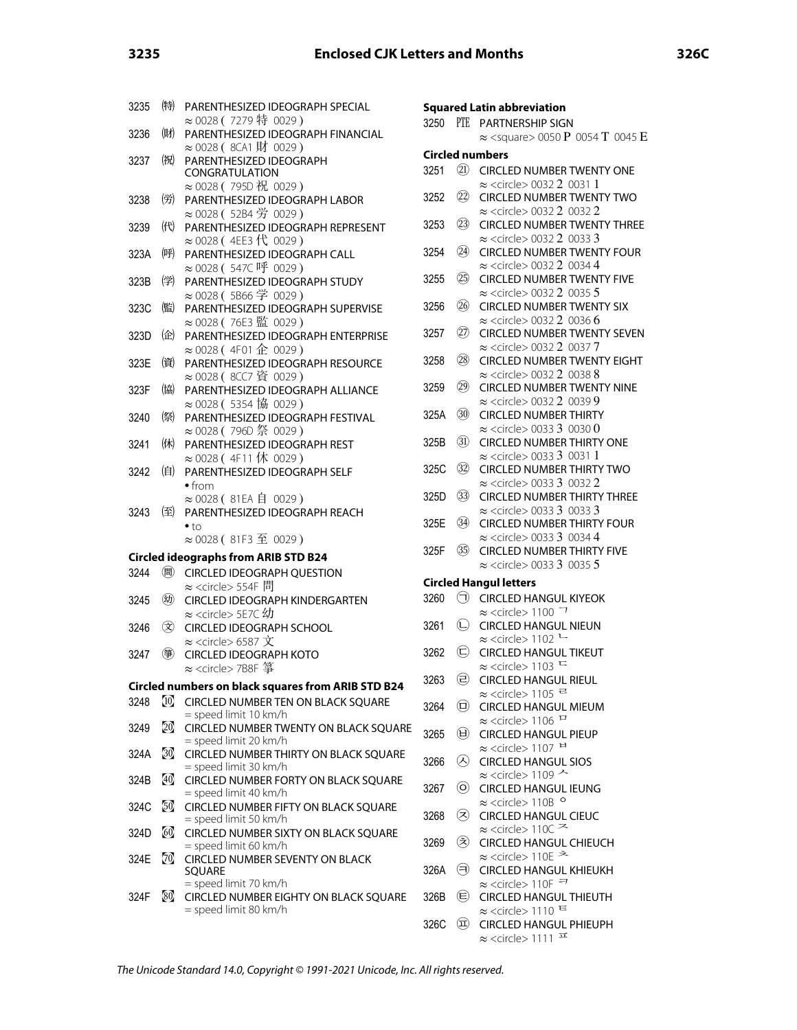| 3235 | ㈱    | PARENTHESIZED IDEOGRAPH SPECIAL<br>≈ 0028 (7279特 0029)                                                          |
|------|------|-----------------------------------------------------------------------------------------------------------------|
| 3236 | (財)  | PARENTHESIZED IDEOGRAPH FINANCIAL<br>$\approx$ 0028 (8CA1 財 0029)                                               |
| 3237 | 阅    | PARENTHESIZED IDEOGRAPH<br>CONGRATULATION<br>≈ 0028 (795D 祝 0029)                                               |
| 3238 | (労)  | PARENTHESIZED IDEOGRAPH LABOR<br>≈ 0028 (52B4 労 0029)                                                           |
| 3239 | (代)  | PARENTHESIZED IDEOGRAPH REPRESENT<br>≈ 0028 (4EE3 代 0029)                                                       |
| 323A | (呼)  | PARENTHESIZED IDEOGRAPH CALL<br>≈ 0028 (547C 呼 0029)                                                            |
| 323B | (学)  | PARENTHESIZED IDEOGRAPH STUDY<br>≈ 0028 (5B66 学 0029)                                                           |
| 323C | (監)  | PARENTHESIZED IDEOGRAPH SUPERVISE<br>≈ 0028 (76E3 監 0029)                                                       |
| 323D | 俭    | PARENTHESIZED IDEOGRAPH ENTERPRISE<br>$\approx$ 0028 (4F01 $\hat{L}$ 0029)                                      |
| 323E | 儨    | PARENTHESIZED IDEOGRAPH RESOURCE<br>≈ 0028 (8CC7 資 0029)                                                        |
| 323F | (協)  | PARENTHESIZED IDEOGRAPH ALLIANCE<br>≈ 0028 (5354 協 0029)                                                        |
| 3240 | 《祭》  | PARENTHESIZED IDEOGRAPH FESTIVAL<br>≈ 0028 (796D祭 0029)                                                         |
| 3241 | (休)  | PARENTHESIZED IDEOGRAPH REST<br>≈ 0028 (4F11 休 0029)                                                            |
| 3242 | (自)  | PARENTHESIZED IDEOGRAPH SELF<br>• from                                                                          |
| 3243 | 侄    | ≈ 0028 (81EA 自 0029)<br>PARENTHESIZED IDEOGRAPH REACH<br>$\bullet$ to                                           |
|      |      | ≈ 0028 (81F3至 0029)                                                                                             |
|      |      | <b>Circled ideographs from ARIB STD B24</b>                                                                     |
| 3244 | 卿    | <b>CIRCLED IDEOGRAPH QUESTION</b>                                                                               |
| 3245 | 蚴    | ≈ <circle> 554F 問<br/>CIRCLED IDEOGRAPH KINDERGARTEN<br/><math>\approx</math> <circle> 5E7C 幼</circle></circle> |
| 3246 | ⊛    | <b>CIRCLED IDEOGRAPH SCHOOL</b><br>$\approx$ <circle> 6587 文</circle>                                           |
| 3247 | ආ    | <b>CIRCLED IDEOGRAPH KOTO</b><br>≈ <circle>7B8F 箏</circle>                                                      |
|      |      | Circled numbers on black squares from ARIB STD B24                                                              |
| 3248 | (10) | CIRCLED NUMBER TEN ON BLACK SQUARE                                                                              |
| 3249 | 20   | = speed limit 10 km/h<br>CIRCLED NUMBER TWENTY ON BLACK SQUARE                                                  |
| 324A | 30   | = speed limit 20 km/h<br>CIRCLED NUMBER THIRTY ON BLACK SQUARE                                                  |
| 324B | 40   | = speed limit 30 km/h<br>CIRCLED NUMBER FORTY ON BLACK SQUARE                                                   |
| 324C | 50   | = speed limit 40 km/h<br>CIRCLED NUMBER FIFTY ON BLACK SQUARE<br>= speed limit 50 km/h                          |
| 324D | 60   | CIRCLED NUMBER SIXTY ON BLACK SQUARE<br>= speed limit 60 km/h                                                   |
| 324E | 70   | CIRCLED NUMBER SEVENTY ON BLACK<br>SQUARE                                                                       |
| 324F | 80   | = speed limit 70 km/h<br>CIRCLED NUMBER EIGHTY ON BLACK SQUARE<br>= speed limit 80 km/h                         |

# **Squared Latin abbreviation**

3250 PTE PARTNERSHIP SIGN ≈ <square> 0050 P 0054 T 0045 E

## **Circled numbers**

- 3251 ㉑ CIRCLED NUMBER TWENTY ONE ≈ <circle> 0032 2 0031 1
- 3252 ㉒ CIRCLED NUMBER TWENTY TWO ≈ <circle> 0032 2 0032 2
- 3253 ㉓ CIRCLED NUMBER TWENTY THREE ≈ <circle> 0032 2 0033 3
- 3254 ㉔ CIRCLED NUMBER TWENTY FOUR ≈ <circle> 0032 2 0034 4
- 3255 (25) CIRCLED NUMBER TWENTY FIVE ≈ <circle> 0032 2 0035 5
- 3256 ㉖ CIRCLED NUMBER TWENTY SIX ≈ <circle> 0032 2 0036 6
- 3257 (27) CIRCLED NUMBER TWENTY SEVEN ≈ <circle> 0032 2 0037 7
- 3258 ㉘ CIRCLED NUMBER TWENTY EIGHT ≈ <circle> 0032 2 0038 8
- 3259 ㉙ CIRCLED NUMBER TWENTY NINE ≈ <circle> 0032 2 0039 9
- 325A ㉚ CIRCLED NUMBER THIRTY ≈ <circle> 0033 3 0030 0
- 325B ㉛ CIRCLED NUMBER THIRTY ONE ≈ <circle> 0033 3 0031 1
- 325C ㉜ CIRCLED NUMBER THIRTY TWO ≈ <circle> 0033 3 0032 2
- 325D **33** CIRCLED NUMBER THIRTY THREE ≈ <circle> 0033 3 0033 3
- 325E ㉞ CIRCLED NUMBER THIRTY FOUR ≈ <circle> 0033 3 0034 4
- 325F 35 CIRCLED NUMBER THIRTY FIVE ≈ <circle> 0033 3 0035 5

# **Circled Hangul letters**

- 3260 **J** CIRCLED HANGUL KIYEOK  $\approx$  <circle> 1100  $\frac{7}{3}$
- 3261 *Q* CIRCLED HANGUL NIEUN  $\approx$  <circle> 1102  $\sim$
- 3262 C CIRCLED HANGUL TIKEUT  $\approx$  <circle> 1103  $\equiv$
- 3263 **a** CIRCLED HANGUL RIEUL  $\approx$  <circle> 1105 $\equiv$
- 3264 **D** CIRCLED HANGUL MIEUM  $\approx$  <circle> 1106  $\frac{11}{2}$
- 3265 **i** CIRCLED HANGUL PIEUP  $\approx$  <circle> 1107  $^{\text{H}}$
- 3266 *S* CIRCLED HANGUL SIOS  $\approx$  <circle> 1109  $\sim$
- 3267 © CIRCLED HANGUL IEUNG  $\approx$  <circle> 110B  $\circ$
- 3268 **②** CIRCLED HANGUL CIEUC  $\approx$  <circle> 110C  $\approx$
- 3269 **③** CIRCLED HANGUL CHIEUCH ≈ <circle> 110E ᄎ
- 326A  $\quad$  CIRCLED HANGUL KHIEUKH ≈ <circle> 110F ᄏ
- 326B **G**CIRCLED HANGUL THIEUTH ≈ <circle> 1110 ᄐ
- 326C ㉬ CIRCLED HANGUL PHIEUPH  $\approx$  <circle> 1111  $\overline{2}$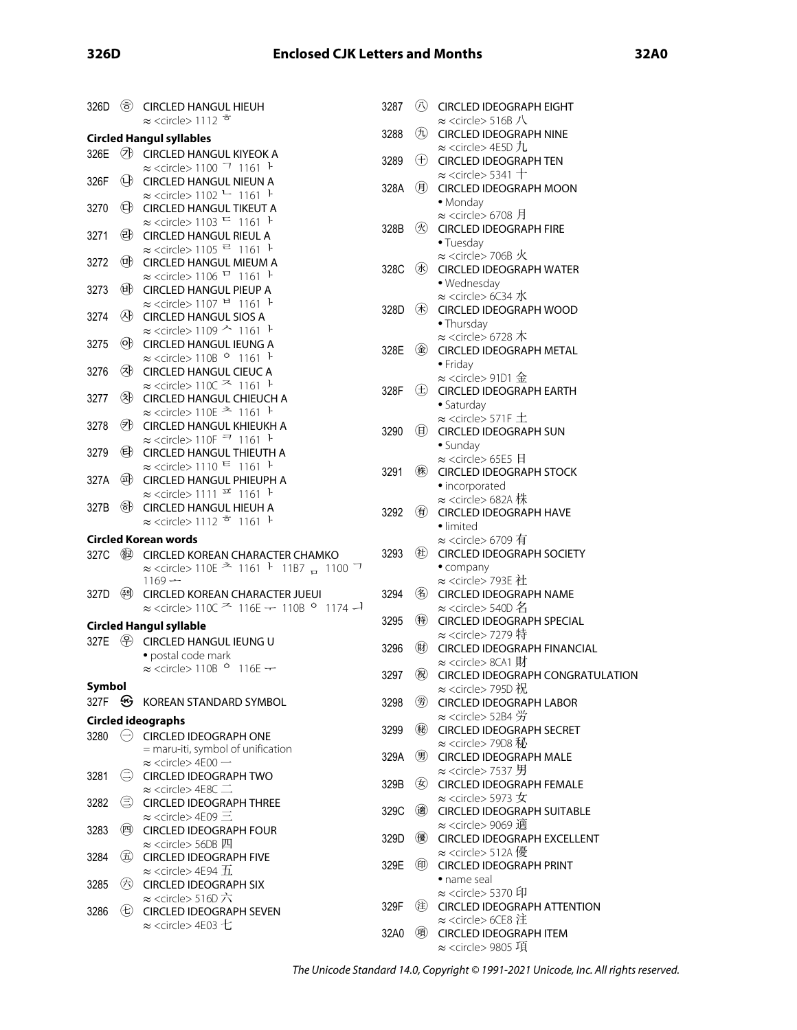| 326D   |                              | THE CIRCLED HANGUL HIEUH                                                                                                                   | 3287 | $\circled{t}$              | <b>CIRCLED IDEOGRAPH EIGHT</b>                                                    |
|--------|------------------------------|--------------------------------------------------------------------------------------------------------------------------------------------|------|----------------------------|-----------------------------------------------------------------------------------|
|        |                              | $\approx$ <circle> 1112<math>\bar{\sigma}</math></circle>                                                                                  |      |                            | $\approx$ <circle> 516B <math>\Lambda</math></circle>                             |
|        |                              | <b>Circled Hangul syllables</b>                                                                                                            | 3288 | $\mathcal{F}$              | <b>CIRCLED IDEOGRAPH NINE</b>                                                     |
| 326E   |                              | <b>ED CIRCLED HANGUL KIYEOK A</b>                                                                                                          |      |                            | $\approx$ <circle> 4E5D <math>\pi</math></circle>                                 |
|        |                              | $\approx$ <circle> 1100 <math>\frac{1}{100}</math> 1161 }</circle>                                                                         | 3289 | $(+)$                      | <b>CIRCLED IDEOGRAPH TEN</b>                                                      |
| 326F   | $\mathfrak{t}$               | <b>CIRCLED HANGUL NIEUN A</b>                                                                                                              |      | (                          | $\approx$ <circle> 5341 <math>\pm</math></circle>                                 |
|        |                              | $\approx$ <circle> 1102 <math>-</math> 1161 <math>\pm</math></circle>                                                                      | 328A |                            | CIRCLED IDEOGRAPH MOON                                                            |
| 3270   | $\left( \mathbb{Z} \right)$  | <b>CIRCLED HANGUL TIKEUT A</b>                                                                                                             |      |                            | • Monday                                                                          |
|        |                              | $\approx$ <circle> 1103 <math>\sim</math> 1161 }</circle>                                                                                  |      | OR)                        | ≈ <circle> 6708 月</circle>                                                        |
| 3271   | ⊕                            | <b>CIRCLED HANGUL RIEUL A</b>                                                                                                              | 328B |                            | <b>CIRCLED IDEOGRAPH FIRE</b>                                                     |
|        |                              | $\approx$ <circle> 1105 <math>\pm</math> 1161 <math>\pm</math></circle>                                                                    |      |                            | • Tuesday<br>$\approx$ <circle> 706B <math>\overline{\mathcal{K}}</math></circle> |
| 3272   | $\overline{\mathbb{H}}$      | CIRCLED HANGUL MIEUM A                                                                                                                     | 328C | $(\nexists k)$             | <b>CIRCLED IDEOGRAPH WATER</b>                                                    |
|        |                              | $\approx$ <circle> 1106 <math>\frac{11}{100}</math> 1161 <math>\frac{11}{100}</math></circle>                                              |      |                            |                                                                                   |
| 3273   | (H)                          | <b>CIRCLED HANGUL PIEUP A</b>                                                                                                              |      |                            | · Wednesday<br>$\approx$ <circle> 6C34 <math>\pi</math></circle>                  |
|        |                              | $\approx$ <circle> 1107 <math>^{\text{H}}</math> 1161 <math>^{\text{H}}</math></circle>                                                    | 328D | $(\star)$                  | CIRCLED IDEOGRAPH WOOD                                                            |
| 3274   |                              | <b>ED</b> CIRCLED HANGUL SIOS A                                                                                                            |      |                            |                                                                                   |
|        |                              | ≈ <circle> 1109 <math>\sim</math> 1161 <math>\pm</math></circle>                                                                           |      |                            | • Thursday<br>$\approx$ <circle> 6728 <math>\pi</math></circle>                   |
| 3275   | $\Theta$                     | <b>CIRCLED HANGUL IEUNG A</b>                                                                                                              | 328E | (金)                        | CIRCLED IDEOGRAPH METAL                                                           |
|        |                              | $\approx$ <circle> 110B <math>^{\circ}</math> 1161 <math>^{\circ}</math></circle>                                                          |      |                            |                                                                                   |
| 3276   | ⊗⊵                           | <b>CIRCLED HANGUL CIEUC A</b>                                                                                                              |      |                            | • Friday<br>$\approx$ <circle> 91D1 金</circle>                                    |
|        |                              | $\approx$ <circle> 110C <math>\approx</math> 1161 <math>\pm</math></circle>                                                                | 328F | $(\pm)$                    | <b>CIRCLED IDEOGRAPH EARTH</b>                                                    |
| 3277   | લ્રિ⊳                        | <b>CIRCLED HANGUL CHIEUCH A</b>                                                                                                            |      |                            | • Saturday                                                                        |
|        |                              | $\approx$ <circle> 110E <math>\geq</math> 1161 <math>\pm</math></circle>                                                                   |      |                            | $\approx$ <circle> 571F <math>\pm</math></circle>                                 |
| 3278   | (ৰ্≽                         | CIRCLED HANGUL KHIEUKH A                                                                                                                   | 3290 | (日)                        | <b>CIRCLED IDEOGRAPH SUN</b>                                                      |
|        |                              | $\approx$ <circle> 110F <math>\frac{11}{101}</math> +</circle>                                                                             |      |                            | · Sunday                                                                          |
| 3279   | $E_{\rm c}$                  | CIRCLED HANGUL THIEUTH A                                                                                                                   |      |                            | $\approx$ <circle> 65E5 <math>\boxminus</math></circle>                           |
|        |                              | $\approx$ <circle> 1110 <math>\equiv</math> 1161 }</circle>                                                                                | 3291 | (株)                        | <b>CIRCLED IDEOGRAPH STOCK</b>                                                    |
| 327A   | $\overline{\mathfrak{m}}$    | CIRCLED HANGUL PHIEUPH A                                                                                                                   |      |                            | · incorporated                                                                    |
|        |                              | $\approx$ <circle> 1111 <math>\overline{2}</math> 1161 }</circle>                                                                          |      |                            | $\approx$ <circle> 682A 株</circle>                                                |
| 327B   | $\left( \frac{1}{2} \right)$ | <b>CIRCLED HANGUL HIEUH A</b>                                                                                                              | 3292 | (有)                        | <b>CIRCLED IDEOGRAPH HAVE</b>                                                     |
|        |                              | $\approx$ <circle> 1112 <math>\bar{\sigma}</math> 1161 }</circle>                                                                          |      |                            | · limited                                                                         |
|        |                              | <b>Circled Korean words</b>                                                                                                                |      |                            | ≈ <circle> 6709 有</circle>                                                        |
| 327C   | (참고)                         | CIRCLED KOREAN CHARACTER CHAMKO                                                                                                            | 3293 | (社)                        | <b>CIRCLED IDEOGRAPH SOCIETY</b>                                                  |
|        |                              | $\approx$ <circle> 110E <math>\geq</math> 1161 <math>\cdot</math> 11B7 <math>\frac{1}{100}</math> 1100 <math>\frac{1}{100}</math></circle> |      |                            | • company                                                                         |
|        |                              | $1169 -$                                                                                                                                   |      |                            | $\approx$ <circle> 793E 社</circle>                                                |
| 327D   | (3의)                         | CIRCLED KOREAN CHARACTER JUEUI                                                                                                             | 3294 | (名)                        | CIRCLED IDEOGRAPH NAME                                                            |
|        |                              | $\approx$ <circle> 110C <math>\approx</math> 116E <math>\sim</math> 110B <math>\circ</math> 1174 <math>\rightarrow</math></circle>         |      |                            | $\approx$ <circle> 540D 名</circle>                                                |
|        |                              |                                                                                                                                            | 3295 | (特)                        | CIRCLED IDEOGRAPH SPECIAL                                                         |
|        |                              | <b>Circled Hangul syllable</b>                                                                                                             |      |                            | ≈ <circle> 7279 特</circle>                                                        |
|        |                              | 327E A CIRCLED HANGUL IEUNG U                                                                                                              | 3296 | (財)                        | CIRCLED IDEOGRAPH FINANCIAL                                                       |
|        |                              | • postal code mark                                                                                                                         |      |                            | $\approx$ <circle> 8CA1 財</circle>                                                |
|        |                              | $\approx$ <circle> 110B <math>\circ</math> 116E <math>\sim</math></circle>                                                                 | 3297 | (祝)                        | CIRCLED IDEOGRAPH CONGRATULATION                                                  |
| Symbol |                              |                                                                                                                                            |      |                            | ≈ <circle> 795D 祝</circle>                                                        |
| 327F   |                              | <b>66 KOREAN STANDARD SYMBOL</b>                                                                                                           | 3298 | (労)                        | <b>CIRCLED IDEOGRAPH LABOR</b>                                                    |
|        |                              |                                                                                                                                            |      |                            | $\approx$ <circle> 52B4 <math>\Huge \#</math></circle>                            |
|        |                              | <b>Circled ideographs</b>                                                                                                                  | 3299 | (秘)                        | <b>CIRCLED IDEOGRAPH SECRET</b>                                                   |
| 3280   | $(-)$                        | CIRCLED IDEOGRAPH ONE                                                                                                                      |      |                            | $\approx$ <circle> 79D8 秘</circle>                                                |
|        |                              | = maru-iti, symbol of unification                                                                                                          | 329A | (男)                        | <b>CIRCLED IDEOGRAPH MALE</b>                                                     |
|        |                              | $\approx$ <circle>4E00 <math>-</math></circle>                                                                                             |      |                            | $\approx$ <circle> 7537 男</circle>                                                |
| 3281   | $(\rightrightarrows)$        | <b>CIRCLED IDEOGRAPH TWO</b>                                                                                                               | 329B | $\mathcal{F}(\mathcal{F})$ | CIRCLED IDEOGRAPH FEMALE                                                          |
|        |                              | $\approx$ <circle>4E8C<math>\equiv</math></circle>                                                                                         |      |                            | $\approx$ <circle> 5973 <math>\pm</math></circle>                                 |
| 3282   | ⊜                            | <b>CIRCLED IDEOGRAPH THREE</b>                                                                                                             | 329C | 適                          | CIRCLED IDEOGRAPH SUITABLE                                                        |
|        |                              | $\approx$ <circle> 4E09 <math>\Xi</math></circle>                                                                                          |      |                            | $\approx$ <circle> 9069 適</circle>                                                |
| 3283   | $(\mathbb{F})$               | <b>CIRCLED IDEOGRAPH FOUR</b>                                                                                                              | 329D | (優)                        | CIRCLED IDEOGRAPH EXCELLENT                                                       |
|        |                              | ≈ <circle> 56DB 四</circle>                                                                                                                 |      |                            | $\approx$ <circle> 512A 優</circle>                                                |
| 3284   | $\mathbf{E}$                 | <b>CIRCLED IDEOGRAPH FIVE</b>                                                                                                              | 329E | (E I)                      | <b>CIRCLED IDEOGRAPH PRINT</b>                                                    |
|        |                              | $\approx$ <circle> 4E94 <math>\overline{\text{h}}</math></circle>                                                                          |      |                            | • name seal                                                                       |
| 3285   | $\left(\rightleftarrow$      | <b>CIRCLED IDEOGRAPH SIX</b>                                                                                                               |      |                            | ≈ <circle> 5370 印</circle>                                                        |
|        |                              | $\approx$ <circle> 516D 六</circle>                                                                                                         | 329F | (注)                        | <b>CIRCLED IDEOGRAPH ATTENTION</b>                                                |
| 3286   | (E)                          | <b>CIRCLED IDEOGRAPH SEVEN</b>                                                                                                             |      |                            | $\approx$ <circle> 6CE8 注</circle>                                                |
|        |                              | $\approx$ <circle>4E03 <math>\pm</math></circle>                                                                                           | 32A0 | (項)                        | <b>CIRCLED IDEOGRAPH ITEM</b>                                                     |
|        |                              |                                                                                                                                            |      |                            | ≈ <circle> 9805 項</circle>                                                        |

The Unicode Standard 14.0, Copyright © 1991-2021 Unicode, Inc. All rights reserved.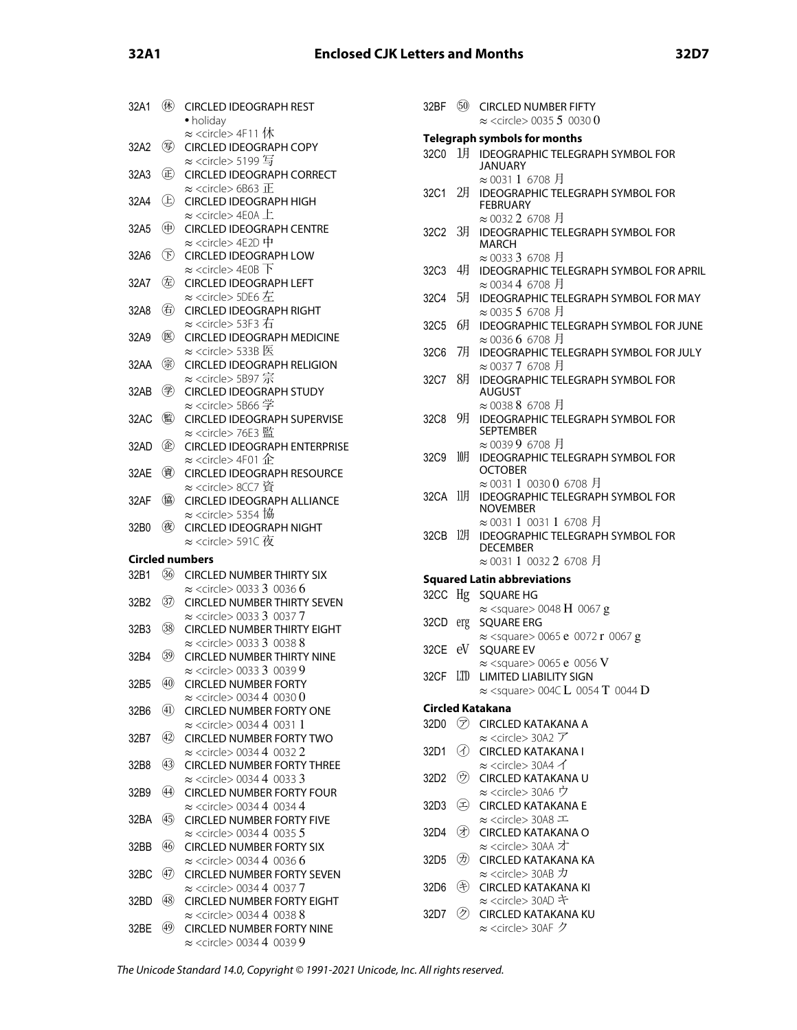| 32A1 | ⊛                            | <b>CIRCLED IDEOGRAPH REST</b>                                                                      |
|------|------------------------------|----------------------------------------------------------------------------------------------------|
|      |                              | • holiday                                                                                          |
|      |                              | $\approx$ <circle> 4F11 休</circle>                                                                 |
| 32A2 | 写                            | CIRCLED IDEOGRAPH COPY<br>$\approx$ <circle> 5199 写</circle>                                       |
| 32A3 | $(\widehat{\mathbb{E}})$     | <b>CIRCLED IDEOGRAPH CORRECT</b>                                                                   |
|      |                              | $\approx$ <circle> 6B63 <math>\overline{\text{1}}</math></circle>                                  |
| 32A4 | $\bigoplus$                  | <b>CIRCLED IDEOGRAPH HIGH</b>                                                                      |
|      |                              | $\approx$ <circle> 4E0A <math>\pm</math></circle>                                                  |
| 32A5 | 倆                            | <b>CIRCLED IDEOGRAPH CENTRE</b>                                                                    |
|      | ্চি                          | ≈ <circle> 4E2D 中</circle>                                                                         |
| 32A6 |                              | <b>CIRCLED IDEOGRAPH LOW</b><br>$\approx$ <circle>4E0B <math>\overline{\mathrm{F}}</math></circle> |
| 32A7 | 屈                            | <b>CIRCLED IDEOGRAPH LEFT</b>                                                                      |
|      |                              | $\approx$ <circle> 5DE6 左</circle>                                                                 |
| 32A8 | 角                            | <b>CIRCLED IDEOGRAPH RIGHT</b>                                                                     |
|      |                              | $\approx$ <circle> 53F3 右</circle>                                                                 |
| 32A9 | 医                            | <b>CIRCLED IDEOGRAPH MEDICINE</b>                                                                  |
|      |                              | $\approx$ <circle> 533B <math>\overline{\mathbb{E}}</math></circle>                                |
| 32AA | 第                            | <b>CIRCLED IDEOGRAPH RELIGION</b><br>≈ <circle>5B97宗</circle>                                      |
| 32AB | ❀                            | <b>CIRCLED IDEOGRAPH STUDY</b>                                                                     |
|      |                              | ≈ <circle> 5B66 学</circle>                                                                         |
| 32AC | 匾                            | <b>CIRCLED IDEOGRAPH SUPERVISE</b>                                                                 |
|      |                              | ≈ <circle> 76E3 監</circle>                                                                         |
| 32AD | 困                            | <b>CIRCLED IDEOGRAPH ENTERPRISE</b>                                                                |
|      |                              | $\approx$ <circle> 4F01 <math>\hat{\pm}</math></circle>                                            |
| 32AE | 箘                            | <b>CIRCLED IDEOGRAPH RESOURCE</b>                                                                  |
| 32AF | 偏                            | ≈ <circle>8CC7 資<br/><b>CIRCLED IDEOGRAPH ALLIANCE</b></circle>                                    |
|      |                              | ≈ <circle> 5354 協</circle>                                                                         |
|      |                              |                                                                                                    |
|      | 仮                            |                                                                                                    |
| 32B0 |                              | <b>CIRCLED IDEOGRAPH NIGHT</b>                                                                     |
|      |                              | ≈ <circle> 591C 夜</circle>                                                                         |
| 32B1 | (36)                         | <b>Circled numbers</b>                                                                             |
|      |                              | <b>CIRCLED NUMBER THIRTY SIX</b><br>$\approx$ <circle> 0033 3 0036 6</circle>                      |
| 32B2 | 37)                          | <b>CIRCLED NUMBER THIRTY SEVEN</b>                                                                 |
|      |                              | $\approx$ <circle> 0033 3 0037 7</circle>                                                          |
| 32B3 | (38)                         | <b>CIRCLED NUMBER THIRTY EIGHT</b>                                                                 |
|      |                              | $\approx$ <circle> 0033 3 0038 8</circle>                                                          |
| 32B4 | 39)                          | <b>CIRCLED NUMBER THIRTY NINE</b>                                                                  |
|      |                              | $\approx$ <circle> 0033 3 0039 9</circle>                                                          |
| 32B5 | $\circled{40}$               | <b>CIRCLED NUMBER FORTY</b>                                                                        |
| 32B6 | $\circled{41}$               | $\approx$ <circle> 0034 4 0030 0<br/><b>CIRCLED NUMBER FORTY ONE</b></circle>                      |
|      |                              | $\approx$ <circle> 0034 4 0031 1</circle>                                                          |
| 32B7 | (42)                         | <b>CIRCLED NUMBER FORTY TWO</b>                                                                    |
|      |                              | $\approx$ <circle> 0034 4 0032 2</circle>                                                          |
| 32B8 | (43)                         | <b>CIRCLED NUMBER FORTY THREE</b>                                                                  |
|      |                              | $\approx$ <circle> 0034 4 0033 3</circle>                                                          |
| 32B9 | (44)                         | <b>CIRCLED NUMBER FORTY FOUR</b>                                                                   |
| 32BA | (45)                         | $\approx$ <circle> 0034 4 0034 4<br/><b>CIRCLED NUMBER FORTY FIVE</b></circle>                     |
|      |                              | $\approx$ <circle> 0034 4 0035 5</circle>                                                          |
| 32BB | (46)                         | <b>CIRCLED NUMBER FORTY SIX</b>                                                                    |
|      |                              | $\approx$ <circle> 0034 4 0036 6</circle>                                                          |
| 32BC | $\left(\overline{47}\right)$ | <b>CIRCLED NUMBER FORTY SEVEN</b>                                                                  |
|      |                              | $\approx$ <circle> 00344 00377</circle>                                                            |
| 32BD | (48)                         | <b>CIRCLED NUMBER FORTY EIGHT</b>                                                                  |
| 32BE | (49)                         | $\approx$ <circle> 00344 00388<br/><b>CIRCLED NUMBER FORTY NINE</b></circle>                       |

| 32BF             |                                                                | 60 CIRCLED NUMBER FIFTY                                                                                                        |
|------------------|----------------------------------------------------------------|--------------------------------------------------------------------------------------------------------------------------------|
|                  |                                                                | $\approx$ <circle> 0035 5 0030 0</circle>                                                                                      |
|                  |                                                                | <b>Telegraph symbols for months</b>                                                                                            |
| 32C0             | 1月                                                             | <b>IDEOGRAPHIC TELEGRAPH SYMBOL FOR</b><br>JANUARY                                                                             |
|                  |                                                                | ≈ 0031 1 6708 月                                                                                                                |
| 32C1             | 2月                                                             | IDEOGRAPHIC TELEGRAPH SYMBOL FOR<br><b>FEBRUARY</b>                                                                            |
| 32C2             | 3月                                                             | ≈ 0032 2 6708 月<br><b>IDEOGRAPHIC TELEGRAPH SYMBOL FOR</b><br>MARCH                                                            |
| 32C3             | 4月                                                             | $\approx$ 0033 3 6708 月<br><b>IDEOGRAPHIC TELEGRAPH SYMBOL FOR APRIL</b>                                                       |
| 32C4             | 5月                                                             | ≈ 0034 4 6708 月<br>IDEOGRAPHIC TELEGRAPH SYMBOL FOR MAY                                                                        |
| 32C5             | 6月                                                             | $\approx$ 0035 5 6708 月<br>IDEOGRAPHIC TELEGRAPH SYMBOL FOR JUNE<br>$\approx$ 0036 6 6708 月                                    |
| 32C6             | 7月                                                             | IDEOGRAPHIC TELEGRAPH SYMBOL FOR JULY<br>$\approx$ 0037 7 6708 月                                                               |
| 32C7             | 8月                                                             | <b>IDEOGRAPHIC TELEGRAPH SYMBOL FOR</b><br><b>AUGUST</b>                                                                       |
| 32C8             | 9月                                                             | $\approx$ 0038 8 6708 月<br><b>IDEOGRAPHIC TELEGRAPH SYMBOL FOR</b><br><b>SEPTEMBER</b>                                         |
| 32C9             | 10月                                                            | $\approx$ 0039 9 6708 月<br><b>IDEOGRAPHIC TELEGRAPH SYMBOL FOR</b><br><b>OCTOBER</b>                                           |
| 32CA 11月         |                                                                | ≈ 0031 1 0030 0 6708 月<br><b>IDEOGRAPHIC TELEGRAPH SYMBOL FOR</b><br><b>NOVEMBER</b>                                           |
| 32CB 12月         |                                                                | ≈ 0031 1 0031 1 6708 月<br><b>IDEOGRAPHIC TELEGRAPH SYMBOL FOR</b><br><b>DECEMBER</b><br>≈ 0031 1 0032 2 6708 月                 |
|                  |                                                                |                                                                                                                                |
|                  |                                                                | <b>Squared Latin abbreviations</b>                                                                                             |
| 32CC             | Hg                                                             | <b>SQUARE HG</b>                                                                                                               |
| 32CD             | erg                                                            | $\approx$ <square> 0048 H 0067 g<br/><b>SQUARE ERG</b></square>                                                                |
| 32CE eV          |                                                                | $\approx$ <square> 0065 e 0072 r 0067 g<br/><b>SOUARE EV</b><br/><math>\approx</math> <square> 0065 e 0056 V</square></square> |
| 32CF             | <b>LTD</b>                                                     | LIMITED LIABILITY SIGN<br>$\approx$ <square> 004C L 0054 T 0044 D</square>                                                     |
|                  |                                                                | <b>Circled Katakana</b>                                                                                                        |
| 32D0             | $\circledcirc$                                                 |                                                                                                                                |
|                  |                                                                | CIRCLED KATAKANA A<br>$\approx$ <circle> 30A2 <math>\mathcal{F}</math></circle>                                                |
| 32D1             | $\left(\!\!\left\langle \mathbf{\mathbf{r}}\right)\!\!\right.$ | <b>CIRCLED KATAKANA I</b><br>$\approx$ <circle> 30A4 <math>\varphi</math></circle>                                             |
| 32D2             | $^\circledR$                                                   | CIRCLED KATAKANA U<br>≈ <circle> 30A6 ウ</circle>                                                                               |
| 32D3             | $\circledR$                                                    | <b>CIRCLED KATAKANA E</b><br>$\approx$ <circle> 30A8 <math>\pm</math></circle>                                                 |
| 32D4             | ⊛                                                              | CIRCLED KATAKANA O<br>$\approx$ <circle> 30AA 才</circle>                                                                       |
| 32D <sub>5</sub> | ு                                                              | <b>CIRCLED KATAKANA KA</b><br>$\approx$ <circle> 30AB 力</circle>                                                               |
| 32D6             | $\left(\ddagger\right)$                                        | <b>CIRCLED KATAKANA KI</b><br>≈ <circle> 30AD キ</circle>                                                                       |
|                  |                                                                |                                                                                                                                |

32D7 2 CIRCLED KATAKANA KU ≈ <circle> 30AF ク

The Unicode Standard 14.0, Copyright © 1991-2021 Unicode, Inc. All rights reserved.